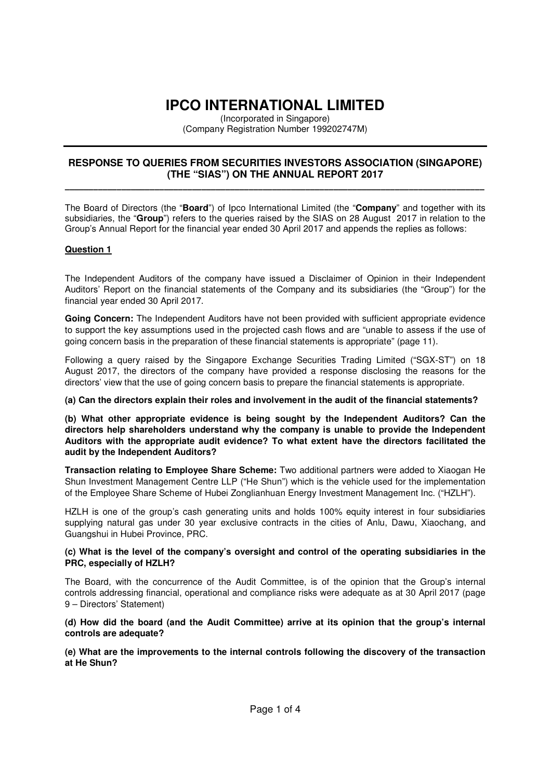# **IPCO INTERNATIONAL LIMITED**

(Incorporated in Singapore) (Company Registration Number 199202747M)

## **RESPONSE TO QUERIES FROM SECURITIES INVESTORS ASSOCIATION (SINGAPORE) (THE "SIAS") ON THE ANNUAL REPORT 2017**  \_\_\_\_\_\_\_\_\_\_\_\_\_\_\_\_\_\_\_\_\_\_\_\_\_\_\_\_\_\_\_\_\_\_\_\_\_\_\_\_\_\_\_\_\_\_\_\_\_\_\_\_\_\_\_\_\_\_\_\_\_\_\_\_\_\_\_\_\_\_\_\_\_\_\_\_\_\_\_\_\_\_\_\_\_\_\_\_\_

The Board of Directors (the "**Board**") of Ipco International Limited (the "**Company**" and together with its subsidiaries, the "**Group**") refers to the queries raised by the SIAS on 28 August 2017 in relation to the Group's Annual Report for the financial year ended 30 April 2017 and appends the replies as follows:

## **Question 1**

The Independent Auditors of the company have issued a Disclaimer of Opinion in their Independent Auditors' Report on the financial statements of the Company and its subsidiaries (the "Group") for the financial year ended 30 April 2017.

**Going Concern:** The Independent Auditors have not been provided with sufficient appropriate evidence to support the key assumptions used in the projected cash flows and are "unable to assess if the use of going concern basis in the preparation of these financial statements is appropriate" (page 11).

Following a query raised by the Singapore Exchange Securities Trading Limited ("SGX-ST") on 18 August 2017, the directors of the company have provided a response disclosing the reasons for the directors' view that the use of going concern basis to prepare the financial statements is appropriate.

## **(a) Can the directors explain their roles and involvement in the audit of the financial statements?**

**(b) What other appropriate evidence is being sought by the Independent Auditors? Can the directors help shareholders understand why the company is unable to provide the Independent Auditors with the appropriate audit evidence? To what extent have the directors facilitated the audit by the Independent Auditors?** 

**Transaction relating to Employee Share Scheme:** Two additional partners were added to Xiaogan He Shun Investment Management Centre LLP ("He Shun") which is the vehicle used for the implementation of the Employee Share Scheme of Hubei Zonglianhuan Energy Investment Management Inc. ("HZLH").

HZLH is one of the group's cash generating units and holds 100% equity interest in four subsidiaries supplying natural gas under 30 year exclusive contracts in the cities of Anlu, Dawu, Xiaochang, and Guangshui in Hubei Province, PRC.

#### **(c) What is the level of the company's oversight and control of the operating subsidiaries in the PRC, especially of HZLH?**

The Board, with the concurrence of the Audit Committee, is of the opinion that the Group's internal controls addressing financial, operational and compliance risks were adequate as at 30 April 2017 (page 9 – Directors' Statement)

#### **(d) How did the board (and the Audit Committee) arrive at its opinion that the group's internal controls are adequate?**

**(e) What are the improvements to the internal controls following the discovery of the transaction at He Shun?**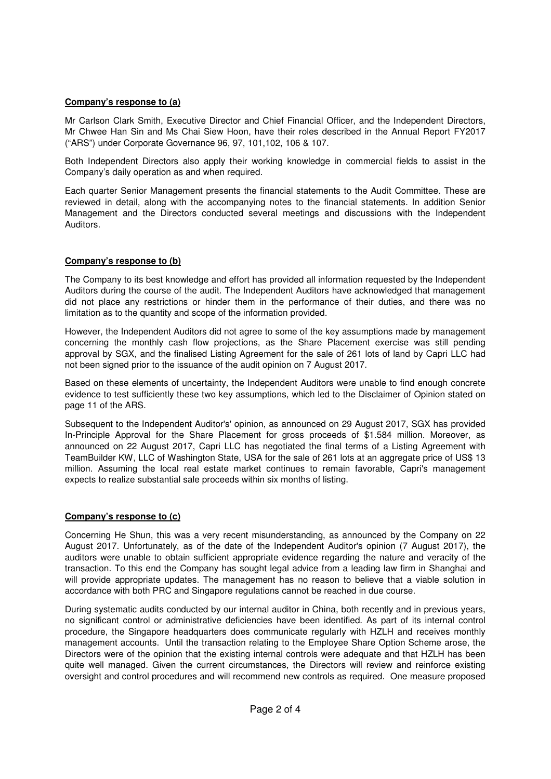## **Company's response to (a)**

Mr Carlson Clark Smith, Executive Director and Chief Financial Officer, and the Independent Directors, Mr Chwee Han Sin and Ms Chai Siew Hoon, have their roles described in the Annual Report FY2017 ("ARS") under Corporate Governance 96, 97, 101,102, 106 & 107.

Both Independent Directors also apply their working knowledge in commercial fields to assist in the Company's daily operation as and when required.

Each quarter Senior Management presents the financial statements to the Audit Committee. These are reviewed in detail, along with the accompanying notes to the financial statements. In addition Senior Management and the Directors conducted several meetings and discussions with the Independent Auditors.

## **Company's response to (b)**

The Company to its best knowledge and effort has provided all information requested by the Independent Auditors during the course of the audit. The Independent Auditors have acknowledged that management did not place any restrictions or hinder them in the performance of their duties, and there was no limitation as to the quantity and scope of the information provided.

However, the Independent Auditors did not agree to some of the key assumptions made by management concerning the monthly cash flow projections, as the Share Placement exercise was still pending approval by SGX, and the finalised Listing Agreement for the sale of 261 lots of land by Capri LLC had not been signed prior to the issuance of the audit opinion on 7 August 2017.

Based on these elements of uncertainty, the Independent Auditors were unable to find enough concrete evidence to test sufficiently these two key assumptions, which led to the Disclaimer of Opinion stated on page 11 of the ARS.

Subsequent to the Independent Auditor's' opinion, as announced on 29 August 2017, SGX has provided In-Principle Approval for the Share Placement for gross proceeds of \$1.584 million. Moreover, as announced on 22 August 2017, Capri LLC has negotiated the final terms of a Listing Agreement with TeamBuilder KW, LLC of Washington State, USA for the sale of 261 lots at an aggregate price of US\$ 13 million. Assuming the local real estate market continues to remain favorable, Capri's management expects to realize substantial sale proceeds within six months of listing.

## **Company's response to (c)**

Concerning He Shun, this was a very recent misunderstanding, as announced by the Company on 22 August 2017. Unfortunately, as of the date of the Independent Auditor's opinion (7 August 2017), the auditors were unable to obtain sufficient appropriate evidence regarding the nature and veracity of the transaction. To this end the Company has sought legal advice from a leading law firm in Shanghai and will provide appropriate updates. The management has no reason to believe that a viable solution in accordance with both PRC and Singapore regulations cannot be reached in due course.

During systematic audits conducted by our internal auditor in China, both recently and in previous years, no significant control or administrative deficiencies have been identified. As part of its internal control procedure, the Singapore headquarters does communicate regularly with HZLH and receives monthly management accounts. Until the transaction relating to the Employee Share Option Scheme arose, the Directors were of the opinion that the existing internal controls were adequate and that HZLH has been quite well managed. Given the current circumstances, the Directors will review and reinforce existing oversight and control procedures and will recommend new controls as required. One measure proposed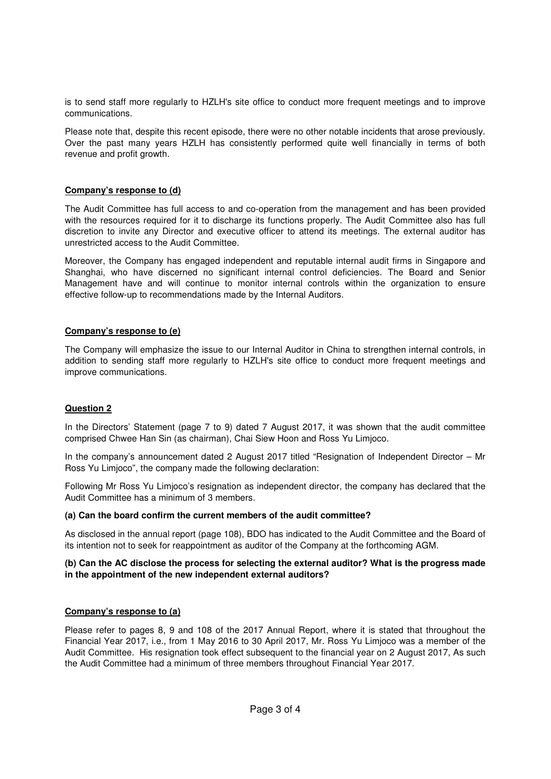is to send staff more regularly to HZLH's site office to conduct more frequent meetings and to improve communications.

Please note that, despite this recent episode, there were no other notable incidents that arose previously. Over the past many years HZLH has consistently performed quite well financially in terms of both revenue and profit growth.

## **Company's response to (d)**

The Audit Committee has full access to and co-operation from the management and has been provided with the resources required for it to discharge its functions properly. The Audit Committee also has full discretion to invite any Director and executive officer to attend its meetings. The external auditor has unrestricted access to the Audit Committee.

Moreover, the Company has engaged independent and reputable internal audit firms in Singapore and Shanghai, who have discerned no significant internal control deficiencies. The Board and Senior Management have and will continue to monitor internal controls within the organization to ensure effective follow-up to recommendations made by the Internal Auditors.

## **Company's response to (e)**

The Company will emphasize the issue to our Internal Auditor in China to strengthen internal controls, in addition to sending staff more regularly to HZLH's site office to conduct more frequent meetings and improve communications.

## **Question 2**

In the Directors' Statement (page 7 to 9) dated 7 August 2017, it was shown that the audit committee comprised Chwee Han Sin (as chairman), Chai Siew Hoon and Ross Yu Limjoco.

In the company's announcement dated 2 August 2017 titled "Resignation of Independent Director – Mr Ross Yu Limjoco", the company made the following declaration:

Following Mr Ross Yu Limjoco's resignation as independent director, the company has declared that the Audit Committee has a minimum of 3 members.

## **(a) Can the board confirm the current members of the audit committee?**

As disclosed in the annual report (page 108), BDO has indicated to the Audit Committee and the Board of its intention not to seek for reappointment as auditor of the Company at the forthcoming AGM.

## **(b) Can the AC disclose the process for selecting the external auditor? What is the progress made in the appointment of the new independent external auditors?**

## **Company's response to (a)**

Please refer to pages 8, 9 and 108 of the 2017 Annual Report, where it is stated that throughout the Financial Year 2017, i.e., from 1 May 2016 to 30 April 2017, Mr. Ross Yu Limjoco was a member of the Audit Committee. His resignation took effect subsequent to the financial year on 2 August 2017, As such the Audit Committee had a minimum of three members throughout Financial Year 2017.